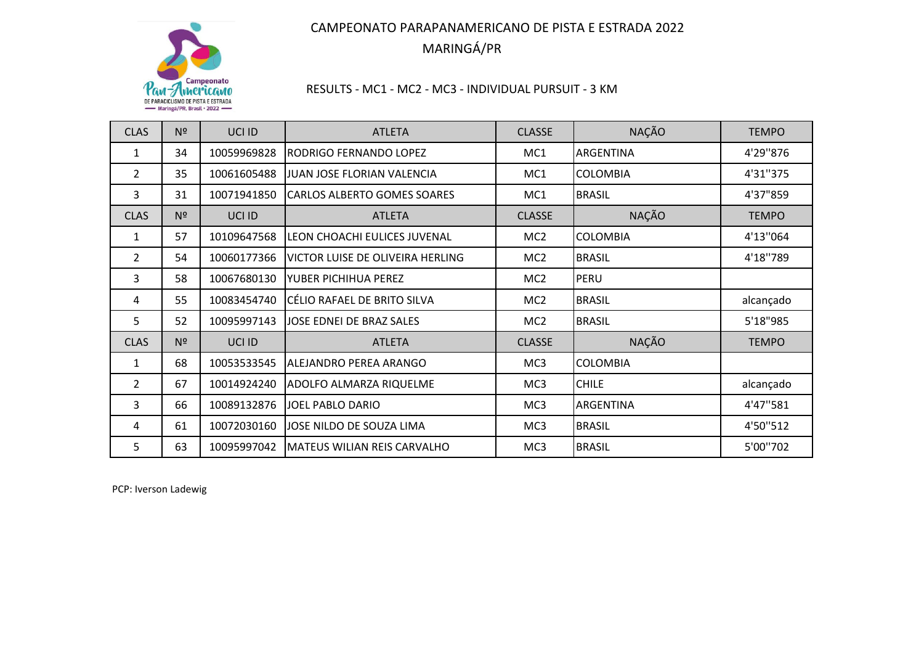

## RESULTS ‐ MC1 ‐ MC2 ‐ MC3 ‐ INDIVIDUAL PURSUIT ‐ 3 KM

| <b>CLAS</b>    | N <sup>2</sup> | UCI ID      | <b>ATLETA</b>                      | <b>CLASSE</b>   | <b>NAÇÃO</b>     | <b>TEMPO</b> |
|----------------|----------------|-------------|------------------------------------|-----------------|------------------|--------------|
| 1              | 34             | 10059969828 | RODRIGO FERNANDO LOPEZ             | MC1             | ARGENTINA        | 4'29"876     |
| $\overline{2}$ | 35             | 10061605488 | JUAN JOSE FLORIAN VALENCIA         | MC1             | <b>COLOMBIA</b>  | 4'31"375     |
| 3              | 31             | 10071941850 | <b>CARLOS ALBERTO GOMES SOARES</b> | MC1             | <b>BRASIL</b>    | 4'37"859     |
| <b>CLAS</b>    | N <sup>2</sup> | UCI ID      | <b>ATLETA</b>                      | <b>CLASSE</b>   | <b>NAÇÃO</b>     | <b>TEMPO</b> |
| $\mathbf{1}$   | 57             | 10109647568 | LEON CHOACHI EULICES JUVENAL       | MC <sub>2</sub> | <b>COLOMBIA</b>  | 4'13"064     |
| $\overline{2}$ | 54             | 10060177366 | VICTOR LUISE DE OLIVEIRA HERLING   | MC <sub>2</sub> | <b>BRASIL</b>    | 4'18"789     |
| 3              | 58             | 10067680130 | YUBER PICHIHUA PEREZ               | MC <sub>2</sub> | PERU             |              |
| 4              | 55             | 10083454740 | CÉLIO RAFAEL DE BRITO SILVA        | MC <sub>2</sub> | <b>BRASIL</b>    | alcançado    |
| 5              | 52             | 10095997143 | JOSE EDNEI DE BRAZ SALES           | MC <sub>2</sub> | <b>BRASIL</b>    | 5'18"985     |
| <b>CLAS</b>    | N <sup>2</sup> | UCI ID      | <b>ATLETA</b>                      | <b>CLASSE</b>   | <b>NAÇÃO</b>     | <b>TEMPO</b> |
| $\mathbf{1}$   | 68             | 10053533545 | ALEJANDRO PEREA ARANGO             | MC3             | <b>COLOMBIA</b>  |              |
| $\overline{2}$ | 67             | 10014924240 | <b>ADOLFO ALMARZA RIQUELME</b>     | MC3             | <b>CHILE</b>     | alcançado    |
| 3              | 66             | 10089132876 | JOEL PABLO DARIO                   | MC <sub>3</sub> | <b>ARGENTINA</b> | 4'47"581     |
| 4              | 61             | 10072030160 | JOSE NILDO DE SOUZA LIMA           | MC3             | <b>BRASIL</b>    | 4'50"512     |
| 5              | 63             | 10095997042 | MATEUS WILIAN REIS CARVALHO        | MC3             | <b>BRASIL</b>    | 5'00"702     |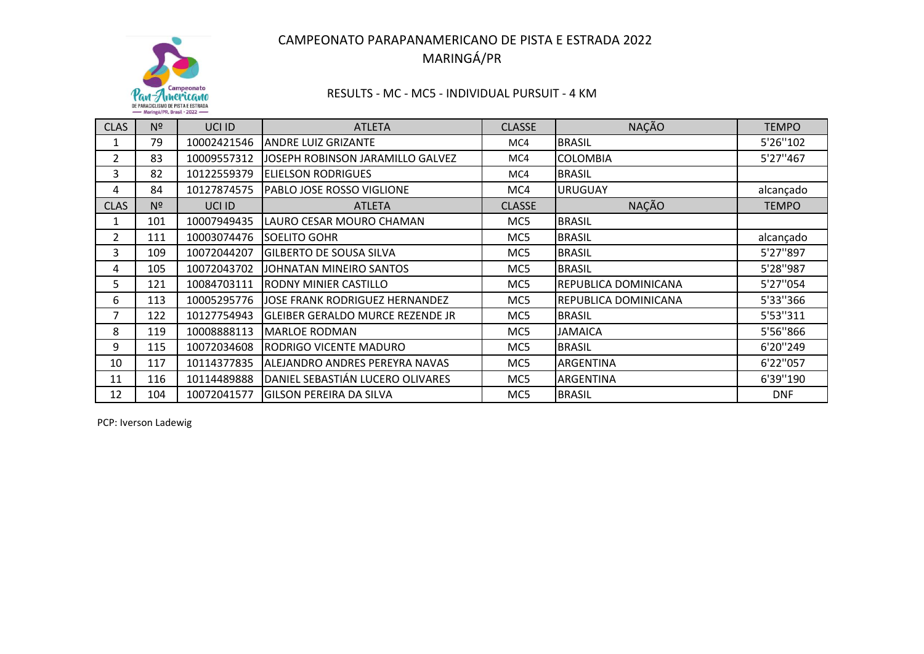

## RESULTS ‐ MC ‐ MC5 ‐ INDIVIDUAL PURSUIT ‐ 4 KM

| <b>CLAS</b> | N <sup>2</sup> | UCI ID      | <b>ATLETA</b>                           | <b>CLASSE</b> | <b>NAÇÃO</b>                | <b>TEMPO</b> |
|-------------|----------------|-------------|-----------------------------------------|---------------|-----------------------------|--------------|
| 1           | 79             | 10002421546 | <b>ANDRE LUIZ GRIZANTE</b>              | MC4           | <b>BRASIL</b>               | 5'26"102     |
| 2           | 83             | 10009557312 | JOSEPH ROBINSON JARAMILLO GALVEZ        | MC4           | <b>COLOMBIA</b>             | 5'27"467     |
| 3           | 82             | 10122559379 | <b>ELIELSON RODRIGUES</b>               | MC4           | <b>BRASIL</b>               |              |
| 4           | 84             | 10127874575 | PABLO JOSE ROSSO VIGLIONE               | MC4           | <b>URUGUAY</b>              | alcançado    |
| <b>CLAS</b> | Nº             | UCI ID      | <b>ATLETA</b>                           | <b>CLASSE</b> | <b>NAÇÃO</b>                | <b>TEMPO</b> |
| 1           | 101            | 10007949435 | LAURO CESAR MOURO CHAMAN                | MC5           | <b>BRASIL</b>               |              |
| 2           | 111            | 10003074476 | <b>SOELITO GOHR</b>                     | MC5           | <b>BRASIL</b>               | alcançado    |
| 3           | 109            | 10072044207 | <b>GILBERTO DE SOUSA SILVA</b>          | MC5           | <b>BRASIL</b>               | 5'27"897     |
| 4           | 105            | 10072043702 | JOHNATAN MINEIRO SANTOS                 | MC5           | <b>BRASIL</b>               | 5'28"987     |
| 5           | 121            | 10084703111 | RODNY MINIER CASTILLO                   | MC5           | REPUBLICA DOMINICANA        | 5'27"054     |
| 6           | 113            | 10005295776 | JOSE FRANK RODRIGUEZ HERNANDEZ          | MC5           | <b>REPUBLICA DOMINICANA</b> | 5'33"366     |
| 7           | 122            | 10127754943 | <b>GLEIBER GERALDO MURCE REZENDE JR</b> | MC5           | <b>BRASIL</b>               | 5'53"311     |
| 8           | 119            | 10008888113 | <b>MARLOE RODMAN</b>                    | MC5           | <b>JAMAICA</b>              | 5'56"866     |
| 9           | 115            | 10072034608 | <b>RODRIGO VICENTE MADURO</b>           | MC5           | <b>BRASIL</b>               | 6'20"249     |
| 10          | 117            | 10114377835 | ALEJANDRO ANDRES PEREYRA NAVAS          | MC5           | ARGENTINA                   | 6'22"057     |
| 11          | 116            | 10114489888 | DANIEL SEBASTIÁN LUCERO OLIVARES        | MC5           | <b>ARGENTINA</b>            | 6'39"190     |
| 12          | 104            | 10072041577 | <b>GILSON PEREIRA DA SILVA</b>          | MC5           | <b>BRASIL</b>               | <b>DNF</b>   |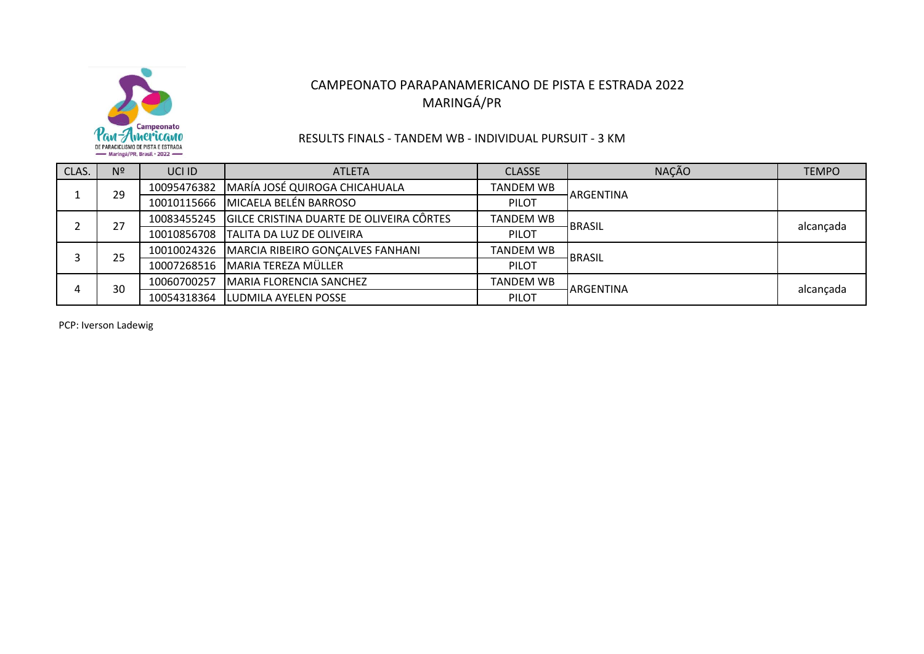

### RESULTS FINALS ‐ TANDEM WB ‐ INDIVIDUAL PURSUIT ‐ 3 KM

| CLAS. | N <sup>2</sup> | UCI ID      | <b>ATLETA</b>                            | <b>CLASSE</b> | <b>NAÇÃO</b>     | <b>TEMPO</b> |
|-------|----------------|-------------|------------------------------------------|---------------|------------------|--------------|
|       | 29             | 10095476382 | MARÍA JOSÉ QUIROGA CHICAHUALA            | TANDEM WB     | <b>ARGENTINA</b> |              |
|       |                | 10010115666 | MICAELA BELÉN BARROSO                    | PILOT         |                  |              |
|       | 27             | 10083455245 | GILCE CRISTINA DUARTE DE OLIVEIRA CÔRTES | TANDEM WB     | BRASIL           | alcançada    |
|       |                | 10010856708 | <b>TALITA DA LUZ DE OLIVEIRA</b>         | PILOT         |                  |              |
|       | 25             | 10010024326 | MARCIA RIBEIRO GONÇALVES FANHANI         | TANDEM WB     | BRASIL           |              |
|       |                | 10007268516 | <b>MARIA TEREZA MÜLLER</b>               | PILOT         |                  |              |
|       | 30             | 10060700257 | <b>IMARIA FLORENCIA SANCHEZ</b>          | TANDEM WB     | <b>ARGENTINA</b> | alcançada    |
|       |                | 10054318364 | <b>LUDMILA AYELEN POSSE</b>              | PILOT         |                  |              |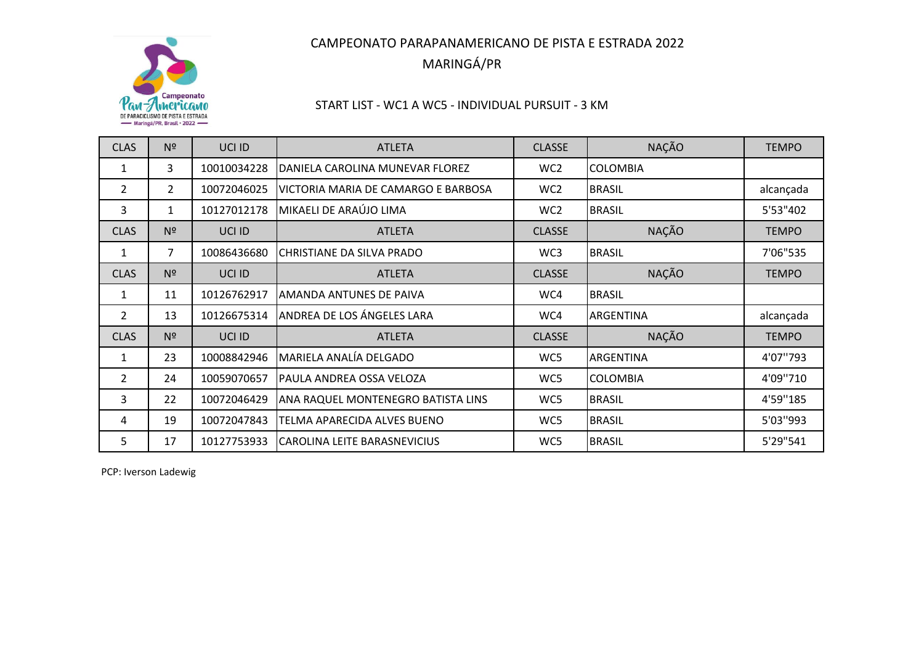

## START LIST ‐ WC1 A WC5 ‐ INDIVIDUAL PURSUIT ‐ 3 KM

| <b>CLAS</b>    | Nº             | UCI ID      | <b>ATLETA</b>                       | <b>CLASSE</b>   | <b>NAÇÃO</b>     | <b>TEMPO</b> |
|----------------|----------------|-------------|-------------------------------------|-----------------|------------------|--------------|
| 1              | 3              | 10010034228 | DANIELA CAROLINA MUNEVAR FLOREZ     | WC <sub>2</sub> | <b>COLOMBIA</b>  |              |
| 2              | 2              | 10072046025 | VICTORIA MARIA DE CAMARGO E BARBOSA | WC <sub>2</sub> | <b>BRASIL</b>    | alcançada    |
| 3              | 1              | 10127012178 | MIKAELI DE ARAÚJO LIMA              | WC <sub>2</sub> | <b>BRASIL</b>    | 5'53"402     |
| <b>CLAS</b>    | N <sup>2</sup> | UCI ID      | <b>ATLETA</b>                       | <b>CLASSE</b>   | <b>NAÇÃO</b>     | <b>TEMPO</b> |
| 1              | 7              | 10086436680 | CHRISTIANE DA SILVA PRADO           | WC3             | <b>BRASIL</b>    | 7'06"535     |
| <b>CLAS</b>    | N <sup>2</sup> | UCI ID      | <b>ATLETA</b>                       | <b>CLASSE</b>   | <b>NAÇÃO</b>     | <b>TEMPO</b> |
| 1              | 11             | 10126762917 | AMANDA ANTUNES DE PAIVA             | WC4             | <b>BRASIL</b>    |              |
| $\overline{2}$ | 13             | 10126675314 | ANDREA DE LOS ÁNGELES LARA          | WC4             | <b>ARGENTINA</b> | alcançada    |
| <b>CLAS</b>    | N <sup>2</sup> | UCI ID      | <b>ATLETA</b>                       | <b>CLASSE</b>   | <b>NAÇÃO</b>     | <b>TEMPO</b> |
| 1              | 23             | 10008842946 | MARIELA ANALÍA DELGADO              | WC5             | ARGENTINA        | 4'07''793    |
| $\overline{2}$ | 24             | 10059070657 | PAULA ANDREA OSSA VELOZA            | WC5             | <b>COLOMBIA</b>  | 4'09''710    |
| 3              | 22             | 10072046429 | ANA RAQUEL MONTENEGRO BATISTA LINS  | WC5             | <b>BRASIL</b>    | 4'59"185     |
| 4              | 19             | 10072047843 | TELMA APARECIDA ALVES BUENO         | WC5             | <b>BRASIL</b>    | 5'03"993     |
| 5              | 17             | 10127753933 | ICAROLINA LEITE BARASNEVICIUS       | WC5             | <b>BRASIL</b>    | 5'29"541     |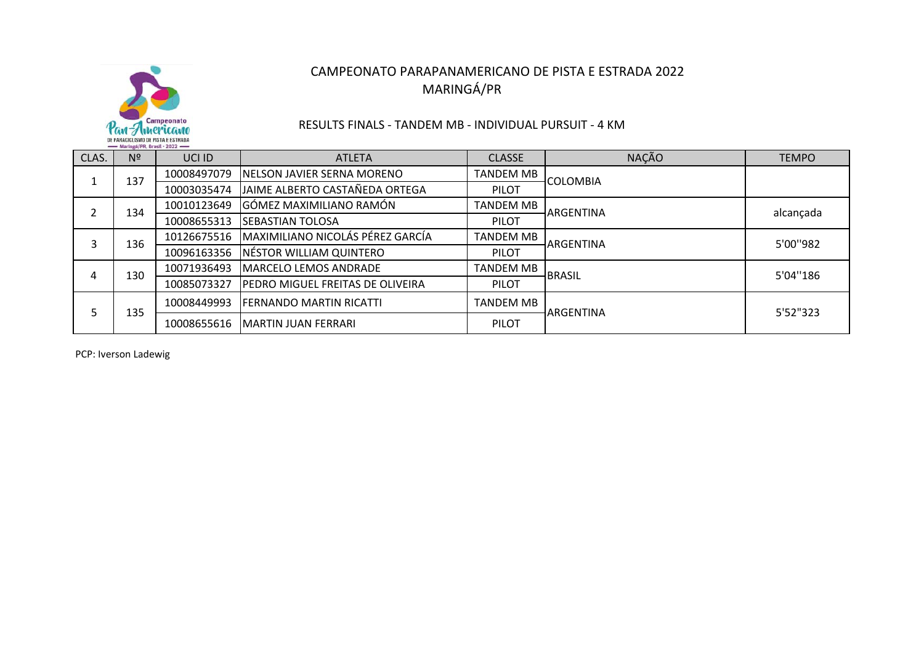

### RESULTS FINALS ‐ TANDEM MB ‐ INDIVIDUAL PURSUIT ‐ 4 KM

| CLAS. | $m_{\text{max}}$ and $m_{\text{max}}$ and $m_{\text{max}}$ and $m_{\text{max}}$ and $m_{\text{max}}$<br>N <sup>2</sup> | UCI ID      | <b>ATLETA</b>                           | <b>CLASSE</b>    | <b>NAÇÃO</b>     | <b>TEMPO</b> |
|-------|------------------------------------------------------------------------------------------------------------------------|-------------|-----------------------------------------|------------------|------------------|--------------|
|       | 137                                                                                                                    | 10008497079 | <b>INELSON JAVIER SERNA MORENO</b>      | <b>TANDEM MB</b> | <b>COLOMBIA</b>  |              |
|       |                                                                                                                        | 10003035474 | JAIME ALBERTO CASTAÑEDA ORTEGA          | <b>PILOT</b>     |                  |              |
|       | 134                                                                                                                    | 10010123649 | GÓMEZ MAXIMILIANO RAMÓN                 | <b>TANDEM MB</b> | <b>ARGENTINA</b> | alcançada    |
|       |                                                                                                                        | 10008655313 | <b>SEBASTIAN TOLOSA</b>                 | <b>PILOT</b>     |                  |              |
|       | 136                                                                                                                    | 10126675516 | MAXIMILIANO NICOLÁS PÉREZ GARCÍA        | TANDEM MB        | <b>ARGENTINA</b> | 5'00"982     |
|       |                                                                                                                        | 10096163356 | NÉSTOR WILLIAM QUINTERO                 | PILOT            |                  |              |
|       | 130                                                                                                                    | 10071936493 | MARCELO LEMOS ANDRADE                   | TANDEM MB        | <b>BRASIL</b>    | 5'04"186     |
| 4     |                                                                                                                        | 10085073327 | <b>PEDRO MIGUEL FREITAS DE OLIVEIRA</b> | <b>PILOT</b>     |                  |              |
|       | 135                                                                                                                    | 10008449993 | <b>FERNANDO MARTIN RICATTI</b>          | <b>TANDEM MB</b> | ARGENTINA        | 5'52"323     |
|       |                                                                                                                        | 10008655616 | <b>IMARTIN JUAN FERRARI</b>             | <b>PILOT</b>     |                  |              |